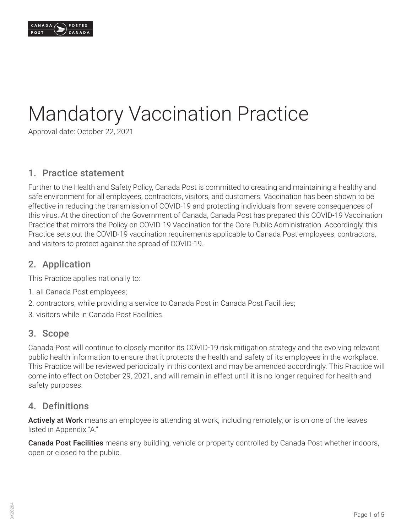

# Mandatory Vaccination Practice

Approval date: October 22, 2021

## 1. Practice statement

Further to the Health and Safety Policy, Canada Post is committed to creating and maintaining a healthy and safe environment for all employees, contractors, visitors, and customers. Vaccination has been shown to be effective in reducing the transmission of COVID-19 and protecting individuals from severe consequences of this virus. At the direction of the Government of Canada, Canada Post has prepared this COVID-19 Vaccination Practice that mirrors the Policy on COVID-19 Vaccination for the Core Public Administration. Accordingly, this Practice sets out the COVID-19 vaccination requirements applicable to Canada Post employees, contractors, and visitors to protect against the spread of COVID-19.

#### 2. Application

This Practice applies nationally to:

- 1. all Canada Post employees;
- 2. contractors, while providing a service to Canada Post in Canada Post Facilities;
- 3. visitors while in Canada Post Facilities.

#### 3. Scope

Canada Post will continue to closely monitor its COVID-19 risk mitigation strategy and the evolving relevant public health information to ensure that it protects the health and safety of its employees in the workplace. This Practice will be reviewed periodically in this context and may be amended accordingly. This Practice will come into effect on October 29, 2021, and will remain in effect until it is no longer required for health and safety purposes.

## 4. Definitions

Actively at Work means an employee is attending at work, including remotely, or is on one of the leaves listed in Appendix "A."

Canada Post Facilities means any building, vehicle or property controlled by Canada Post whether indoors, open or closed to the public.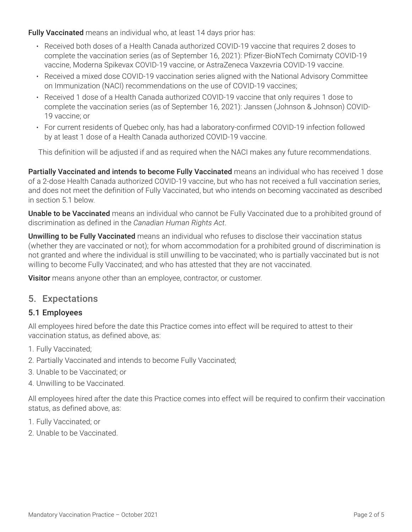Fully Vaccinated means an individual who, at least 14 days prior has:

- Received both doses of a Health Canada authorized COVID-19 vaccine that requires 2 doses to complete the vaccination series (as of September 16, 2021): Pfizer-BioNTech Comirnaty COVID-19 vaccine, Moderna Spikevax COVID-19 vaccine, or AstraZeneca Vaxzevria COVID-19 vaccine.
- Received a mixed dose COVID-19 vaccination series aligned with the National Advisory Committee on Immunization (NACI) recommendations on the use of COVID-19 vaccines;
- Received 1 dose of a Health Canada authorized COVID-19 vaccine that only requires 1 dose to complete the vaccination series (as of September 16, 2021): Janssen (Johnson & Johnson) COVID-19 vaccine; or
- For current residents of Quebec only, has had a laboratory-confirmed COVID-19 infection followed by at least 1 dose of a Health Canada authorized COVID-19 vaccine.

This definition will be adjusted if and as required when the NACI makes any future recommendations.

Partially Vaccinated and intends to become Fully Vaccinated means an individual who has received 1 dose of a 2-dose Health Canada authorized COVID-19 vaccine, but who has not received a full vaccination series, and does not meet the definition of Fully Vaccinated, but who intends on becoming vaccinated as described in section 5.1 below.

Unable to be Vaccinated means an individual who cannot be Fully Vaccinated due to a prohibited ground of discrimination as defined in the *Canadian Human Rights Act*.

Unwilling to be Fully Vaccinated means an individual who refuses to disclose their vaccination status (whether they are vaccinated or not); for whom accommodation for a prohibited ground of discrimination is not granted and where the individual is still unwilling to be vaccinated; who is partially vaccinated but is not willing to become Fully Vaccinated; and who has attested that they are not vaccinated.

Visitor means anyone other than an employee, contractor, or customer.

## 5. Expectations

## 5.1 Employees

All employees hired before the date this Practice comes into effect will be required to attest to their vaccination status, as defined above, as:

- 1. Fully Vaccinated;
- 2. Partially Vaccinated and intends to become Fully Vaccinated;
- 3. Unable to be Vaccinated; or
- 4. Unwilling to be Vaccinated.

All employees hired after the date this Practice comes into effect will be required to confirm their vaccination status, as defined above, as:

- 1. Fully Vaccinated; or
- 2. Unable to be Vaccinated.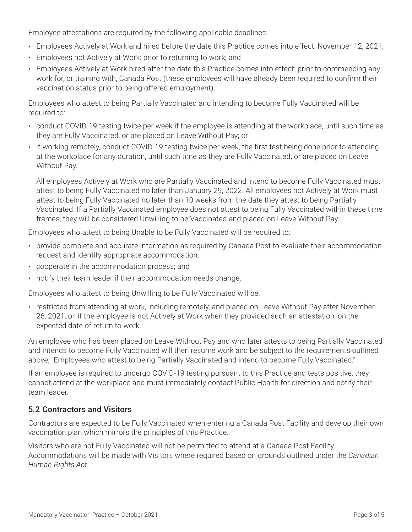Employee attestations are required by the following applicable deadlines:

- Employees Actively at Work and hired before the date this Practice comes into effect: November 12, 2021;
- Employees not Actively at Work: prior to returning to work; and
- Employees Actively at Work hired after the date this Practice comes into effect: prior to commencing any work for, or training with, Canada Post (these employees will have already been required to confirm their vaccination status prior to being offered employment).

Employees who attest to being Partially Vaccinated and intending to become Fully Vaccinated will be required to:

- conduct COVID-19 testing twice per week if the employee is attending at the workplace, until such time as they are Fully Vaccinated, or are placed on Leave Without Pay; or
- if working remotely, conduct COVID-19 testing twice per week, the first test being done prior to attending at the workplace for any duration, until such time as they are Fully Vaccinated, or are placed on Leave Without Pay.

All employees Actively at Work who are Partially Vaccinated and intend to become Fully Vaccinated must attest to being Fully Vaccinated no later than January 29, 2022. All employees not Actively at Work must attest to being Fully Vaccinated no later than 10 weeks from the date they attest to being Partially Vaccinated. If a Partially Vaccinated employee does not attest to being Fully Vaccinated within these time frames, they will be considered Unwilling to be Vaccinated and placed on Leave Without Pay.

Employees who attest to being Unable to be Fully Vaccinated will be required to:

- provide complete and accurate information as required by Canada Post to evaluate their accommodation request and identify appropriate accommodation;
- cooperate in the accommodation process; and
- notify their team leader if their accommodation needs change.

Employees who attest to being Unwilling to be Fully Vaccinated will be:

• restricted from attending at work, including remotely, and placed on Leave Without Pay after November 26, 2021, or, if the employee is not Actively at Work when they provided such an attestation, on the expected date of return to work.

An employee who has been placed on Leave Without Pay and who later attests to being Partially Vaccinated and intends to become Fully Vaccinated will then resume work and be subject to the requirements outlined above, "Employees who attest to being Partially Vaccinated and intend to become Fully Vaccinated."

If an employee is required to undergo COVID-19 testing pursuant to this Practice and tests positive, they cannot attend at the workplace and must immediately contact Public Health for direction and notify their team leader.

#### 5.2 Contractors and Visitors

Contractors are expected to be Fully Vaccinated when entering a Canada Post Facility and develop their own vaccination plan which mirrors the principles of this Practice.

Visitors who are not Fully Vaccinated will not be permitted to attend at a Canada Post Facility. Accommodations will be made with Visitors where required based on grounds outlined under the *Canadian Human Rights Act*.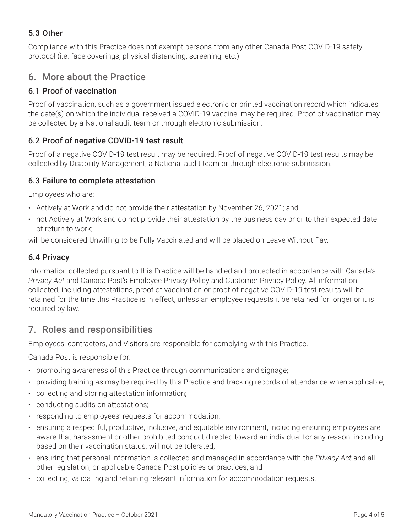## 5.3 Other

Compliance with this Practice does not exempt persons from any other Canada Post COVID-19 safety protocol (i.e. face coverings, physical distancing, screening, etc.).

## 6. More about the Practice

## 6.1 Proof of vaccination

Proof of vaccination, such as a government issued electronic or printed vaccination record which indicates the date(s) on which the individual received a COVID-19 vaccine, may be required. Proof of vaccination may be collected by a National audit team or through electronic submission.

## 6.2 Proof of negative COVID-19 test result

Proof of a negative COVID-19 test result may be required. Proof of negative COVID-19 test results may be collected by Disability Management, a National audit team or through electronic submission.

## 6.3 Failure to complete attestation

Employees who are:

- Actively at Work and do not provide their attestation by November 26, 2021; and
- not Actively at Work and do not provide their attestation by the business day prior to their expected date of return to work;

will be considered Unwilling to be Fully Vaccinated and will be placed on Leave Without Pay.

## 6.4 Privacy

Information collected pursuant to this Practice will be handled and protected in accordance with Canada's *Privacy Act* and Canada Post's Employee Privacy Policy and Customer Privacy Policy. All information collected, including attestations, proof of vaccination or proof of negative COVID-19 test results will be retained for the time this Practice is in effect, unless an employee requests it be retained for longer or it is required by law.

## 7. Roles and responsibilities

Employees, contractors, and Visitors are responsible for complying with this Practice.

Canada Post is responsible for:

- promoting awareness of this Practice through communications and signage;
- providing training as may be required by this Practice and tracking records of attendance when applicable;
- collecting and storing attestation information;
- conducting audits on attestations;
- responding to employees' requests for accommodation;
- ensuring a respectful, productive, inclusive, and equitable environment, including ensuring employees are aware that harassment or other prohibited conduct directed toward an individual for any reason, including based on their vaccination status, will not be tolerated;
- ensuring that personal information is collected and managed in accordance with the *Privacy Act* and all other legislation, or applicable Canada Post policies or practices; and
- collecting, validating and retaining relevant information for accommodation requests.